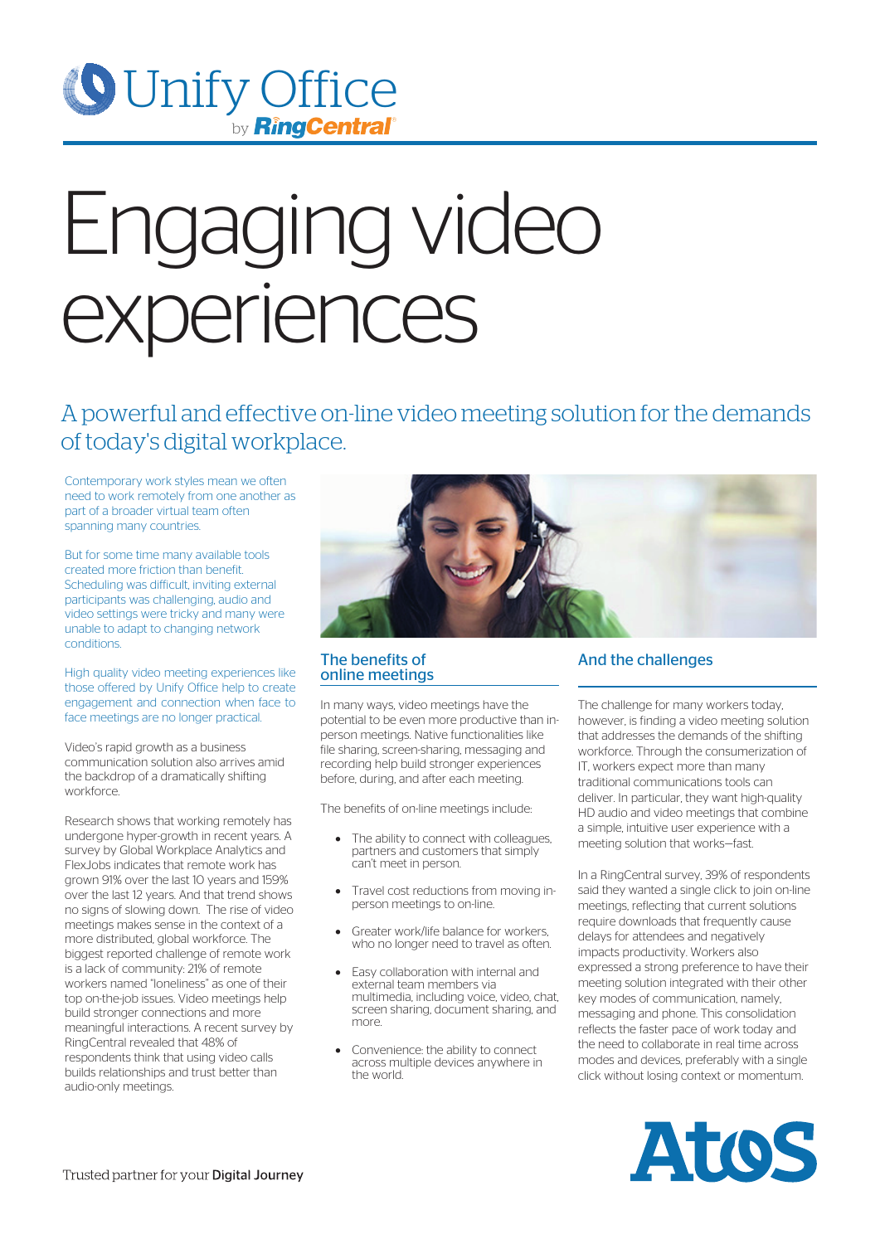

# Engaging video experiences

A powerful and effective on-line video meeting solution for the demands of today's digital workplace.

Contemporary work styles mean we often need to work remotely from one another as part of a broader virtual team often spanning many countries

But for some time many available tools created more friction than benefit. Scheduling was difficult, inviting external participants was challenging, audio and video settings were tricky and many were unable to adapt to changing network conditions.

High quality video meeting experiences like those offered by Unify Office help to create engagement and connection when face to face meetings are no longer practical.

Video's rapid growth as a business communication solution also arrives amid the backdrop of a dramatically shifting workforce.

Research shows that working remotely has undergone hyper-growth in recent years. A survey by Global Workplace Analytics and FlexJobs indicates that remote work has grown 91% over the last 10 years and 159% over the last 12 years. And that trend shows no signs of slowing down. The rise of video meetings makes sense in the context of a more distributed, global workforce. The biggest reported challenge of remote work is a lack of community: 21% of remote workers named "loneliness" as one of their top on-the-job issues. Video meetings help build stronger connections and more meaningful interactions. A recent survey by RingCentral revealed that 48% of respondents think that using video calls builds relationships and trust better than audio-only meetings.



### The benefits of online meetings

In many ways, video meetings have the potential to be even more productive than inperson meetings. Native functionalities like file sharing, screen-sharing, messaging and recording help build stronger experiences before, during, and after each meeting.

The benefits of on-line meetings include:

- The ability to connect with colleagues. partners and customers that simply can't meet in person.
- Travel cost reductions from moving inperson meetings to on-line.
- Greater work/life balance for workers, who no longer need to travel as often.
- Easy collaboration with internal and external team members via multimedia, including voice, video, chat, screen sharing, document sharing, and more.
- Convenience: the ability to connect across multiple devices anywhere in the world.

# And the challenges

The challenge for many workers today, however, is finding a video meeting solution that addresses the demands of the shifting workforce. Through the consumerization of IT, workers expect more than many traditional communications tools can deliver. In particular, they want high-quality HD audio and video meetings that combine a simple, intuitive user experience with a meeting solution that works—fast.

In a RingCentral survey, 39% of respondents said they wanted a single click to join on-line meetings, reflecting that current solutions require downloads that frequently cause delays for attendees and negatively impacts productivity. Workers also expressed a strong preference to have their meeting solution integrated with their other key modes of communication, namely, messaging and phone. This consolidation reflects the faster pace of work today and the need to collaborate in real time across modes and devices, preferably with a single click without losing context or momentum.